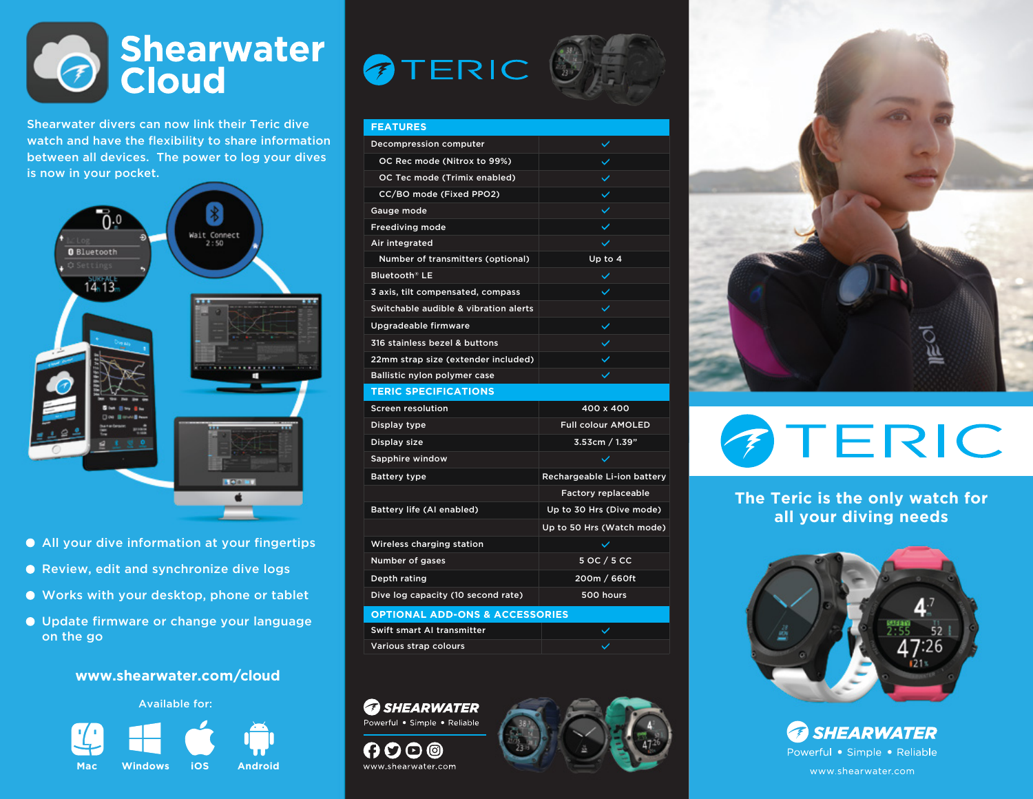# Shearwater

Shearwater divers can now link their Teric dive watch and have the flexibility to share information between all devices. The power to log your dives is now in your pocket.



- All your dive information at your fingertips
- Review, edit and synchronize dive logs
- Works with your desktop, phone or tablet
- Update firmware or change your language on the go

#### **www.shearwater.com/cloud**



## TERIC



#### **FEATURES** Decompression computer OC Rec mode (Nitrox to 99%) OC Tec mode (Trimix enabled) CC/BO mode (Fixed PPO2)  $\checkmark$ Gauge mode  $\checkmark$ Freediving mode  $\checkmark$ Air integrated Number of transmitters (optional) Up to 4 Bluetooth® LE  $\checkmark$ 3 axis, tilt compensated, compass Switchable audible & vibration alerts Upgradeable firmware 316 stainless bezel & buttons 22mm strap size (extender included) Ballistic nylon polymer case **TERIC SPECIFICATIONS**

| <b>Screen resolution</b>                  | 400 x 400                   |  |
|-------------------------------------------|-----------------------------|--|
| Display type                              | <b>Full colour AMOLED</b>   |  |
| Display size                              | 3.53cm / 1.39"              |  |
| Sapphire window                           |                             |  |
| <b>Battery type</b>                       | Rechargeable Li-ion battery |  |
|                                           | <b>Factory replaceable</b>  |  |
| Battery life (AI enabled)                 | Up to 30 Hrs (Dive mode)    |  |
|                                           | Up to 50 Hrs (Watch mode)   |  |
| Wireless charging station                 | $\checkmark$                |  |
| Number of gases                           | 5 OC / 5 CC                 |  |
| Depth rating                              | 200m / 660ft                |  |
| Dive log capacity (10 second rate)        | 500 hours                   |  |
| <b>OPTIONAL ADD-ONS &amp; ACCESSORIES</b> |                             |  |

| <b>OPTIONAL ADD-ONS &amp; ACCESSORIES</b> |  |
|-------------------------------------------|--|
| Swift smart AI transmitter                |  |
| Various strap colours                     |  |
|                                           |  |

**B** SHEARWATER Powerful . Simple . Reliable

0000 O

www.shearwater.com





## TERIC  $\sqrt{2}$

**The Teric is the only watch for all your diving needs**



*B SHEARWATER* Powerful • Simple • Reliable www.shearwater.com